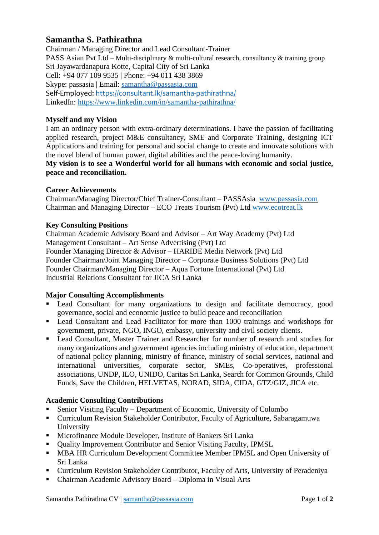# **Samantha S. Pathirathna**

Chairman / Managing Director and Lead Consultant-Trainer PASS Asian Pvt Ltd – Multi-disciplinary & multi-cultural research, consultancy & training group Sri Jayawardanapura Kotte, Capital City of Sri Lanka Cell: +94 077 109 9535 | Phone: +94 011 438 3869 Skype: passasia | Email: [samantha@passasia.com](mailto:samantha@passasia.com) Self-Employed:<https://consultant.lk/samantha-pathirathna/> LinkedIn:<https://www.linkedin.com/in/samantha-pathirathna/>

## **Myself and my Vision**

I am an ordinary person with extra-ordinary determinations. I have the passion of facilitating applied research, project M&E consultancy, SME and Corporate Training, designing ICT Applications and training for personal and social change to create and innovate solutions with the novel blend of human power, digital abilities and the peace-loving humanity.

**My vision is to see a Wonderful world for all humans with economic and social justice, peace and reconciliation.**

#### **Career Achievements**

Chairman/Managing Director/Chief Trainer-Consultant – PASSAsia [www.passasia.com](http://www.passasia.com/) Chairman and Managing Director – ECO Treats Tourism (Pvt) Ltd [www.ecotreat.lk](http://www.ecotreat.lk/)

#### **Key Consulting Positions**

Chairman Academic Advisory Board and Advisor – Art Way Academy (Pvt) Ltd Management Consultant – Art Sense Advertising (Pvt) Ltd Founder Managing Director & Advisor – HARIDE Media Network (Pvt) Ltd Founder Chairman/Joint Managing Director – Corporate Business Solutions (Pvt) Ltd Founder Chairman/Managing Director – Aqua Fortune International (Pvt) Ltd Industrial Relations Consultant for JICA Sri Lanka

#### **Major Consulting Accomplishments**

- Lead Consultant for many organizations to design and facilitate democracy, good governance, social and economic justice to build peace and reconciliation
- Lead Consultant and Lead Facilitator for more than 1000 trainings and workshops for government, private, NGO, INGO, embassy, university and civil society clients.
- Lead Consultant, Master Trainer and Researcher for number of research and studies for many organizations and government agencies including ministry of education, department of national policy planning, ministry of finance, ministry of social services, national and international universities, corporate sector, SMEs, Co-operatives, professional associations, UNDP, ILO, UNIDO, Caritas Sri Lanka, Search for Common Grounds, Child Funds, Save the Children, HELVETAS, NORAD, SIDA, CIDA, GTZ/GIZ, JICA etc.

#### **Academic Consulting Contributions**

- Senior Visiting Faculty Department of Economic, University of Colombo
- Curriculum Revision Stakeholder Contributor, Faculty of Agriculture, Sabaragamuwa University
- Microfinance Module Developer, Institute of Bankers Sri Lanka
- Ouality Improvement Contributor and Senior Visiting Faculty, IPMSL
- MBA HR Curriculum Development Committee Member IPMSL and Open University of Sri Lanka
- Curriculum Revision Stakeholder Contributor, Faculty of Arts, University of Peradeniya
- Chairman Academic Advisory Board Diploma in Visual Arts